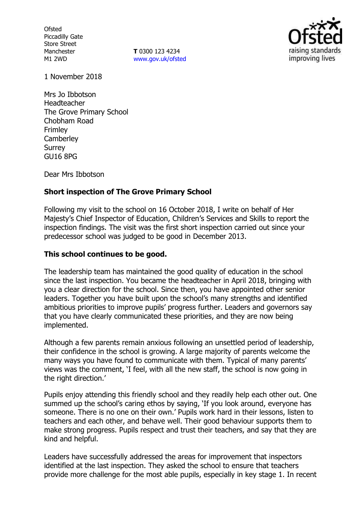**Ofsted** Piccadilly Gate Store Street Manchester M1 2WD

**T** 0300 123 4234 www.gov.uk/ofsted



1 November 2018

Mrs Jo Ibbotson Headteacher The Grove Primary School Chobham Road Frimley **Camberley** Surrey GU16 8PG

Dear Mrs Ibbotson

# **Short inspection of The Grove Primary School**

Following my visit to the school on 16 October 2018, I write on behalf of Her Majesty's Chief Inspector of Education, Children's Services and Skills to report the inspection findings. The visit was the first short inspection carried out since your predecessor school was judged to be good in December 2013.

### **This school continues to be good.**

The leadership team has maintained the good quality of education in the school since the last inspection. You became the headteacher in April 2018, bringing with you a clear direction for the school. Since then, you have appointed other senior leaders. Together you have built upon the school's many strengths and identified ambitious priorities to improve pupils' progress further. Leaders and governors say that you have clearly communicated these priorities, and they are now being implemented.

Although a few parents remain anxious following an unsettled period of leadership, their confidence in the school is growing. A large majority of parents welcome the many ways you have found to communicate with them. Typical of many parents' views was the comment, 'I feel, with all the new staff, the school is now going in the right direction.'

Pupils enjoy attending this friendly school and they readily help each other out. One summed up the school's caring ethos by saying, 'If you look around, everyone has someone. There is no one on their own.' Pupils work hard in their lessons, listen to teachers and each other, and behave well. Their good behaviour supports them to make strong progress. Pupils respect and trust their teachers, and say that they are kind and helpful.

Leaders have successfully addressed the areas for improvement that inspectors identified at the last inspection. They asked the school to ensure that teachers provide more challenge for the most able pupils, especially in key stage 1. In recent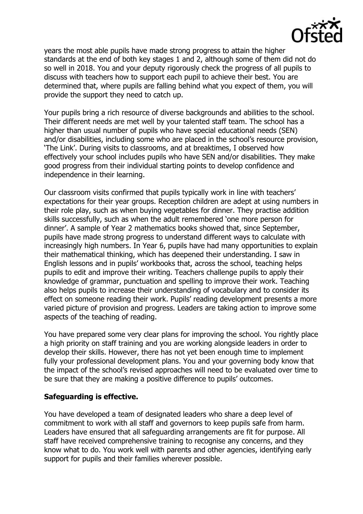

years the most able pupils have made strong progress to attain the higher standards at the end of both key stages 1 and 2, although some of them did not do so well in 2018. You and your deputy rigorously check the progress of all pupils to discuss with teachers how to support each pupil to achieve their best. You are determined that, where pupils are falling behind what you expect of them, you will provide the support they need to catch up.

Your pupils bring a rich resource of diverse backgrounds and abilities to the school. Their different needs are met well by your talented staff team. The school has a higher than usual number of pupils who have special educational needs (SEN) and/or disabilities, including some who are placed in the school's resource provision, 'The Link'. During visits to classrooms, and at breaktimes, I observed how effectively your school includes pupils who have SEN and/or disabilities. They make good progress from their individual starting points to develop confidence and independence in their learning.

Our classroom visits confirmed that pupils typically work in line with teachers' expectations for their year groups. Reception children are adept at using numbers in their role play, such as when buying vegetables for dinner. They practise addition skills successfully, such as when the adult remembered 'one more person for dinner'. A sample of Year 2 mathematics books showed that, since September, pupils have made strong progress to understand different ways to calculate with increasingly high numbers. In Year 6, pupils have had many opportunities to explain their mathematical thinking, which has deepened their understanding. I saw in English lessons and in pupils' workbooks that, across the school, teaching helps pupils to edit and improve their writing. Teachers challenge pupils to apply their knowledge of grammar, punctuation and spelling to improve their work. Teaching also helps pupils to increase their understanding of vocabulary and to consider its effect on someone reading their work. Pupils' reading development presents a more varied picture of provision and progress. Leaders are taking action to improve some aspects of the teaching of reading.

You have prepared some very clear plans for improving the school. You rightly place a high priority on staff training and you are working alongside leaders in order to develop their skills. However, there has not yet been enough time to implement fully your professional development plans. You and your governing body know that the impact of the school's revised approaches will need to be evaluated over time to be sure that they are making a positive difference to pupils' outcomes.

### **Safeguarding is effective.**

You have developed a team of designated leaders who share a deep level of commitment to work with all staff and governors to keep pupils safe from harm. Leaders have ensured that all safeguarding arrangements are fit for purpose. All staff have received comprehensive training to recognise any concerns, and they know what to do. You work well with parents and other agencies, identifying early support for pupils and their families wherever possible.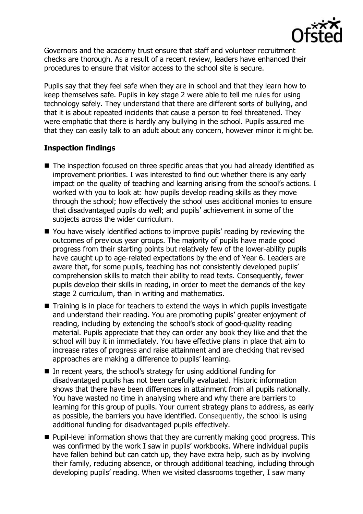

Governors and the academy trust ensure that staff and volunteer recruitment checks are thorough. As a result of a recent review, leaders have enhanced their procedures to ensure that visitor access to the school site is secure.

Pupils say that they feel safe when they are in school and that they learn how to keep themselves safe. Pupils in key stage 2 were able to tell me rules for using technology safely. They understand that there are different sorts of bullying, and that it is about repeated incidents that cause a person to feel threatened. They were emphatic that there is hardly any bullying in the school. Pupils assured me that they can easily talk to an adult about any concern, however minor it might be.

# **Inspection findings**

- The inspection focused on three specific areas that you had already identified as improvement priorities. I was interested to find out whether there is any early impact on the quality of teaching and learning arising from the school's actions. I worked with you to look at: how pupils develop reading skills as they move through the school; how effectively the school uses additional monies to ensure that disadvantaged pupils do well; and pupils' achievement in some of the subjects across the wider curriculum.
- You have wisely identified actions to improve pupils' reading by reviewing the outcomes of previous year groups. The majority of pupils have made good progress from their starting points but relatively few of the lower-ability pupils have caught up to age-related expectations by the end of Year 6. Leaders are aware that, for some pupils, teaching has not consistently developed pupils' comprehension skills to match their ability to read texts. Consequently, fewer pupils develop their skills in reading, in order to meet the demands of the key stage 2 curriculum, than in writing and mathematics.
- $\blacksquare$  Training is in place for teachers to extend the ways in which pupils investigate and understand their reading. You are promoting pupils' greater enjoyment of reading, including by extending the school's stock of good-quality reading material. Pupils appreciate that they can order any book they like and that the school will buy it in immediately. You have effective plans in place that aim to increase rates of progress and raise attainment and are checking that revised approaches are making a difference to pupils' learning.
- In recent years, the school's strategy for using additional funding for disadvantaged pupils has not been carefully evaluated. Historic information shows that there have been differences in attainment from all pupils nationally. You have wasted no time in analysing where and why there are barriers to learning for this group of pupils. Your current strategy plans to address, as early as possible, the barriers you have identified. Consequently, the school is using additional funding for disadvantaged pupils effectively.
- Pupil-level information shows that they are currently making good progress. This was confirmed by the work I saw in pupils' workbooks. Where individual pupils have fallen behind but can catch up, they have extra help, such as by involving their family, reducing absence, or through additional teaching, including through developing pupils' reading. When we visited classrooms together, I saw many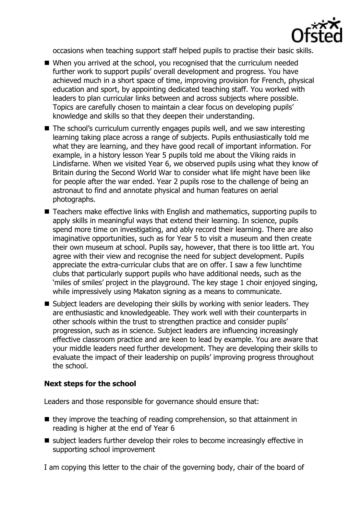

occasions when teaching support staff helped pupils to practise their basic skills.

- When you arrived at the school, you recognised that the curriculum needed further work to support pupils' overall development and progress. You have achieved much in a short space of time, improving provision for French, physical education and sport, by appointing dedicated teaching staff. You worked with leaders to plan curricular links between and across subjects where possible. Topics are carefully chosen to maintain a clear focus on developing pupils' knowledge and skills so that they deepen their understanding.
- The school's curriculum currently engages pupils well, and we saw interesting learning taking place across a range of subjects. Pupils enthusiastically told me what they are learning, and they have good recall of important information. For example, in a history lesson Year 5 pupils told me about the Viking raids in Lindisfarne. When we visited Year 6, we observed pupils using what they know of Britain during the Second World War to consider what life might have been like for people after the war ended. Year 2 pupils rose to the challenge of being an astronaut to find and annotate physical and human features on aerial photographs.
- Teachers make effective links with English and mathematics, supporting pupils to apply skills in meaningful ways that extend their learning. In science, pupils spend more time on investigating, and ably record their learning. There are also imaginative opportunities, such as for Year 5 to visit a museum and then create their own museum at school. Pupils say, however, that there is too little art. You agree with their view and recognise the need for subject development. Pupils appreciate the extra-curricular clubs that are on offer. I saw a few lunchtime clubs that particularly support pupils who have additional needs, such as the 'miles of smiles' project in the playground. The key stage 1 choir enjoyed singing, while impressively using Makaton signing as a means to communicate.
- Subject leaders are developing their skills by working with senior leaders. They are enthusiastic and knowledgeable. They work well with their counterparts in other schools within the trust to strengthen practice and consider pupils' progression, such as in science. Subject leaders are influencing increasingly effective classroom practice and are keen to lead by example. You are aware that your middle leaders need further development. They are developing their skills to evaluate the impact of their leadership on pupils' improving progress throughout the school.

### **Next steps for the school**

Leaders and those responsible for governance should ensure that:

- $\blacksquare$  they improve the teaching of reading comprehension, so that attainment in reading is higher at the end of Year 6
- subject leaders further develop their roles to become increasingly effective in supporting school improvement

I am copying this letter to the chair of the governing body, chair of the board of